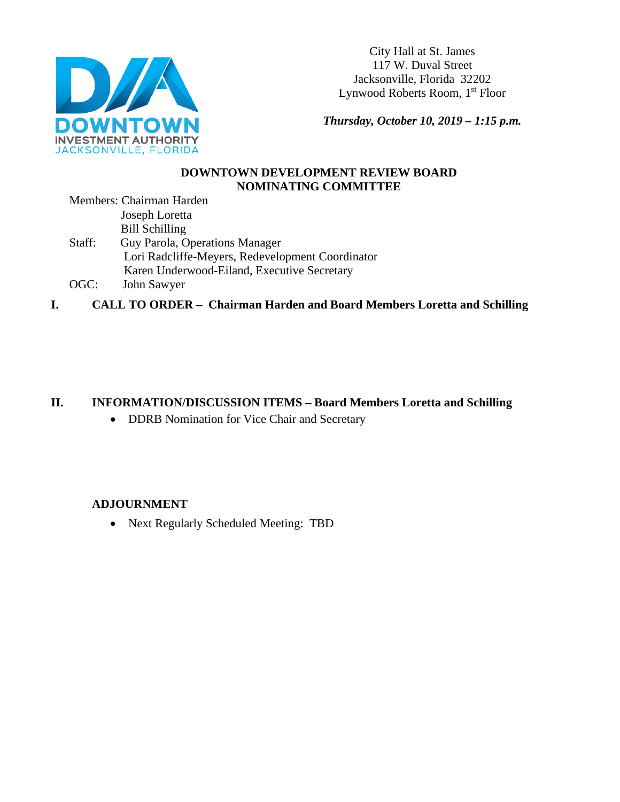

City Hall at St. James 117 W. Duval Street Jacksonville, Florida 32202 Lynwood Roberts Room, 1st Floor

*Thursday, October 10, 2019 – 1:15 p.m.* 

### **DOWNTOWN DEVELOPMENT REVIEW BOARD NOMINATING COMMITTEE**

Members: Chairman Harden Joseph Loretta Bill Schilling Staff: Guy Parola, Operations Manager Lori Radcliffe-Meyers, Redevelopment Coordinator Karen Underwood-Eiland, Executive Secretary

OGC: John Sawyer

**I. CALL TO ORDER – Chairman Harden and Board Members Loretta and Schilling** 

# **II. INFORMATION/DISCUSSION ITEMS – Board Members Loretta and Schilling**

• DDRB Nomination for Vice Chair and Secretary

# **ADJOURNMENT**

• Next Regularly Scheduled Meeting: TBD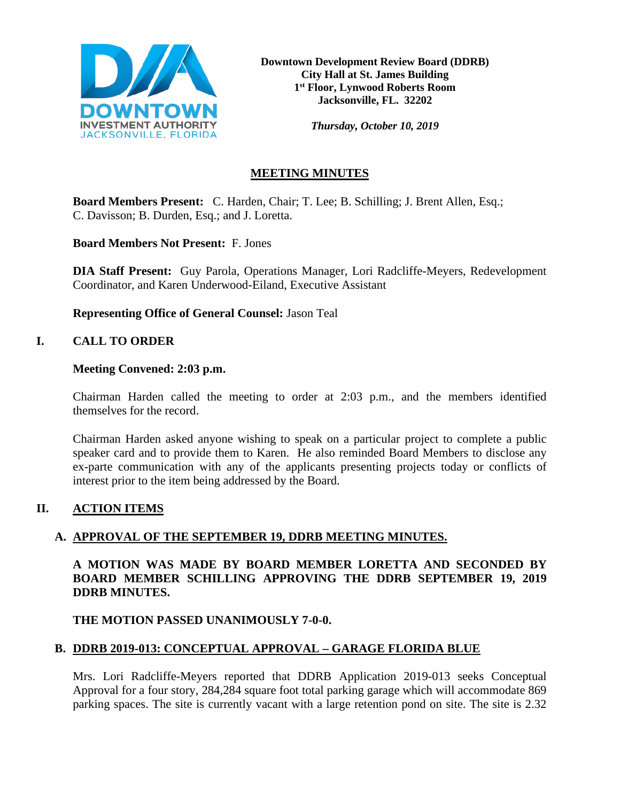

*Thursday, October 10, 2019*

# **MEETING MINUTES**

**Board Members Present:** C. Harden, Chair; T. Lee; B. Schilling; J. Brent Allen, Esq.; C. Davisson; B. Durden, Esq.; and J. Loretta.

**Board Members Not Present:** F. Jones

**DIA Staff Present:** Guy Parola, Operations Manager, Lori Radcliffe-Meyers, Redevelopment Coordinator, and Karen Underwood-Eiland, Executive Assistant

**Representing Office of General Counsel:** Jason Teal

# **I. CALL TO ORDER**

### **Meeting Convened: 2:03 p.m.**

Chairman Harden called the meeting to order at 2:03 p.m., and the members identified themselves for the record.

Chairman Harden asked anyone wishing to speak on a particular project to complete a public speaker card and to provide them to Karen. He also reminded Board Members to disclose any ex-parte communication with any of the applicants presenting projects today or conflicts of interest prior to the item being addressed by the Board.

# **II. ACTION ITEMS**

# **A. APPROVAL OF THE SEPTEMBER 19, DDRB MEETING MINUTES.**

**A MOTION WAS MADE BY BOARD MEMBER LORETTA AND SECONDED BY BOARD MEMBER SCHILLING APPROVING THE DDRB SEPTEMBER 19, 2019 DDRB MINUTES.** 

# **THE MOTION PASSED UNANIMOUSLY 7-0-0.**

# **B. DDRB 2019-013: CONCEPTUAL APPROVAL – GARAGE FLORIDA BLUE**

Mrs. Lori Radcliffe-Meyers reported that DDRB Application 2019-013 seeks Conceptual Approval for a four story, 284,284 square foot total parking garage which will accommodate 869 parking spaces. The site is currently vacant with a large retention pond on site. The site is 2.32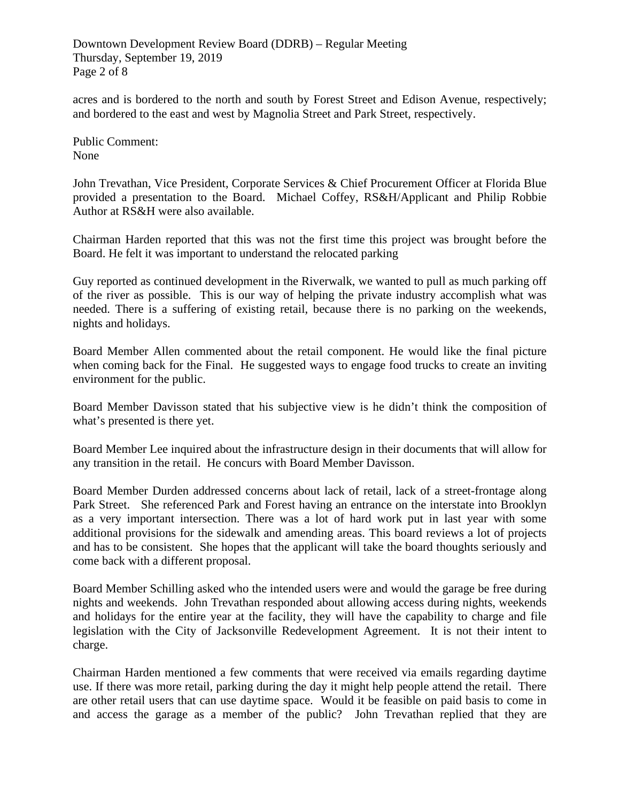Downtown Development Review Board (DDRB) – Regular Meeting Thursday, September 19, 2019 Page 2 of 8

acres and is bordered to the north and south by Forest Street and Edison Avenue, respectively; and bordered to the east and west by Magnolia Street and Park Street, respectively.

Public Comment: None

John Trevathan, Vice President, Corporate Services & Chief Procurement Officer at Florida Blue provided a presentation to the Board. Michael Coffey, RS&H/Applicant and Philip Robbie Author at RS&H were also available.

Chairman Harden reported that this was not the first time this project was brought before the Board. He felt it was important to understand the relocated parking

Guy reported as continued development in the Riverwalk, we wanted to pull as much parking off of the river as possible. This is our way of helping the private industry accomplish what was needed. There is a suffering of existing retail, because there is no parking on the weekends, nights and holidays.

Board Member Allen commented about the retail component. He would like the final picture when coming back for the Final. He suggested ways to engage food trucks to create an inviting environment for the public.

Board Member Davisson stated that his subjective view is he didn't think the composition of what's presented is there yet.

Board Member Lee inquired about the infrastructure design in their documents that will allow for any transition in the retail. He concurs with Board Member Davisson.

Board Member Durden addressed concerns about lack of retail, lack of a street-frontage along Park Street. She referenced Park and Forest having an entrance on the interstate into Brooklyn as a very important intersection. There was a lot of hard work put in last year with some additional provisions for the sidewalk and amending areas. This board reviews a lot of projects and has to be consistent. She hopes that the applicant will take the board thoughts seriously and come back with a different proposal.

Board Member Schilling asked who the intended users were and would the garage be free during nights and weekends. John Trevathan responded about allowing access during nights, weekends and holidays for the entire year at the facility, they will have the capability to charge and file legislation with the City of Jacksonville Redevelopment Agreement. It is not their intent to charge.

Chairman Harden mentioned a few comments that were received via emails regarding daytime use. If there was more retail, parking during the day it might help people attend the retail. There are other retail users that can use daytime space. Would it be feasible on paid basis to come in and access the garage as a member of the public? John Trevathan replied that they are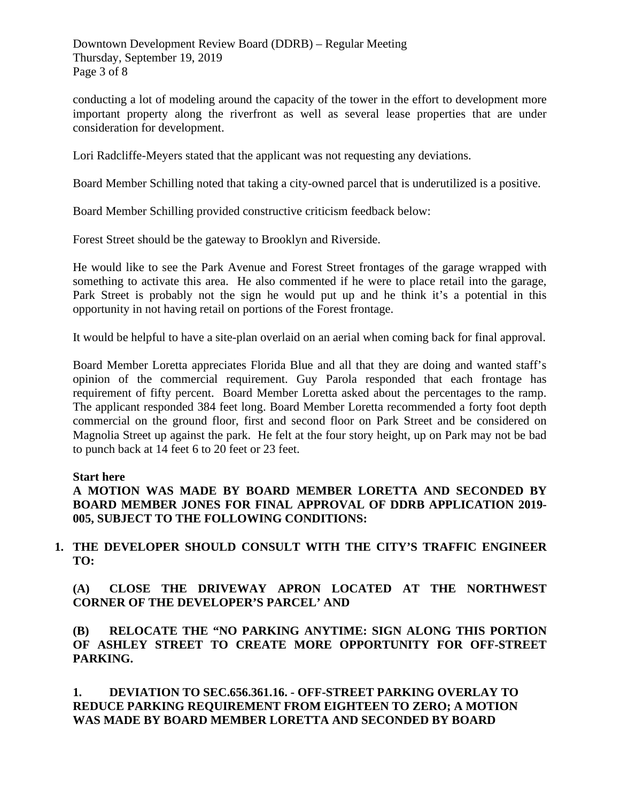Downtown Development Review Board (DDRB) – Regular Meeting Thursday, September 19, 2019 Page 3 of 8

conducting a lot of modeling around the capacity of the tower in the effort to development more important property along the riverfront as well as several lease properties that are under consideration for development.

Lori Radcliffe-Meyers stated that the applicant was not requesting any deviations.

Board Member Schilling noted that taking a city-owned parcel that is underutilized is a positive.

Board Member Schilling provided constructive criticism feedback below:

Forest Street should be the gateway to Brooklyn and Riverside.

He would like to see the Park Avenue and Forest Street frontages of the garage wrapped with something to activate this area. He also commented if he were to place retail into the garage, Park Street is probably not the sign he would put up and he think it's a potential in this opportunity in not having retail on portions of the Forest frontage.

It would be helpful to have a site-plan overlaid on an aerial when coming back for final approval.

Board Member Loretta appreciates Florida Blue and all that they are doing and wanted staff's opinion of the commercial requirement. Guy Parola responded that each frontage has requirement of fifty percent. Board Member Loretta asked about the percentages to the ramp. The applicant responded 384 feet long. Board Member Loretta recommended a forty foot depth commercial on the ground floor, first and second floor on Park Street and be considered on Magnolia Street up against the park. He felt at the four story height, up on Park may not be bad to punch back at 14 feet 6 to 20 feet or 23 feet.

#### **Start here**

**A MOTION WAS MADE BY BOARD MEMBER LORETTA AND SECONDED BY BOARD MEMBER JONES FOR FINAL APPROVAL OF DDRB APPLICATION 2019- 005, SUBJECT TO THE FOLLOWING CONDITIONS:** 

**1. THE DEVELOPER SHOULD CONSULT WITH THE CITY'S TRAFFIC ENGINEER TO:**

**(A) CLOSE THE DRIVEWAY APRON LOCATED AT THE NORTHWEST CORNER OF THE DEVELOPER'S PARCEL' AND** 

**(B) RELOCATE THE "NO PARKING ANYTIME: SIGN ALONG THIS PORTION OF ASHLEY STREET TO CREATE MORE OPPORTUNITY FOR OFF-STREET PARKING.** 

**1. DEVIATION TO SEC.656.361.16. - OFF-STREET PARKING OVERLAY TO REDUCE PARKING REQUIREMENT FROM EIGHTEEN TO ZERO; A MOTION WAS MADE BY BOARD MEMBER LORETTA AND SECONDED BY BOARD**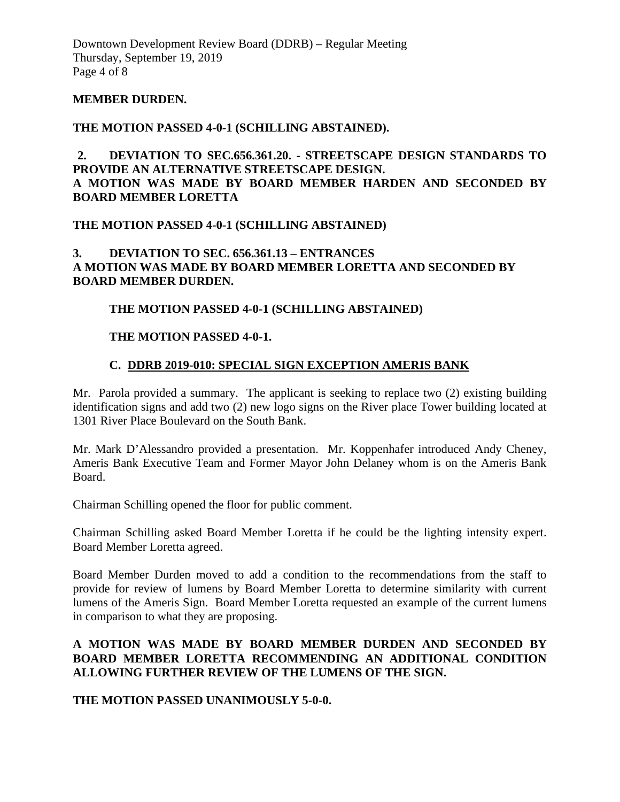Downtown Development Review Board (DDRB) – Regular Meeting Thursday, September 19, 2019 Page 4 of 8

#### **MEMBER DURDEN.**

#### **THE MOTION PASSED 4-0-1 (SCHILLING ABSTAINED).**

**2. DEVIATION TO SEC.656.361.20. - STREETSCAPE DESIGN STANDARDS TO PROVIDE AN ALTERNATIVE STREETSCAPE DESIGN. A MOTION WAS MADE BY BOARD MEMBER HARDEN AND SECONDED BY BOARD MEMBER LORETTA**

#### **THE MOTION PASSED 4-0-1 (SCHILLING ABSTAINED)**

### **3. DEVIATION TO SEC. 656.361.13 – ENTRANCES A MOTION WAS MADE BY BOARD MEMBER LORETTA AND SECONDED BY BOARD MEMBER DURDEN.**

### **THE MOTION PASSED 4-0-1 (SCHILLING ABSTAINED)**

#### **THE MOTION PASSED 4-0-1.**

### **C. DDRB 2019-010: SPECIAL SIGN EXCEPTION AMERIS BANK**

Mr. Parola provided a summary. The applicant is seeking to replace two (2) existing building identification signs and add two (2) new logo signs on the River place Tower building located at 1301 River Place Boulevard on the South Bank.

Mr. Mark D'Alessandro provided a presentation. Mr. Koppenhafer introduced Andy Cheney, Ameris Bank Executive Team and Former Mayor John Delaney whom is on the Ameris Bank Board.

Chairman Schilling opened the floor for public comment.

Chairman Schilling asked Board Member Loretta if he could be the lighting intensity expert. Board Member Loretta agreed.

Board Member Durden moved to add a condition to the recommendations from the staff to provide for review of lumens by Board Member Loretta to determine similarity with current lumens of the Ameris Sign. Board Member Loretta requested an example of the current lumens in comparison to what they are proposing.

### **A MOTION WAS MADE BY BOARD MEMBER DURDEN AND SECONDED BY BOARD MEMBER LORETTA RECOMMENDING AN ADDITIONAL CONDITION ALLOWING FURTHER REVIEW OF THE LUMENS OF THE SIGN.**

**THE MOTION PASSED UNANIMOUSLY 5-0-0.**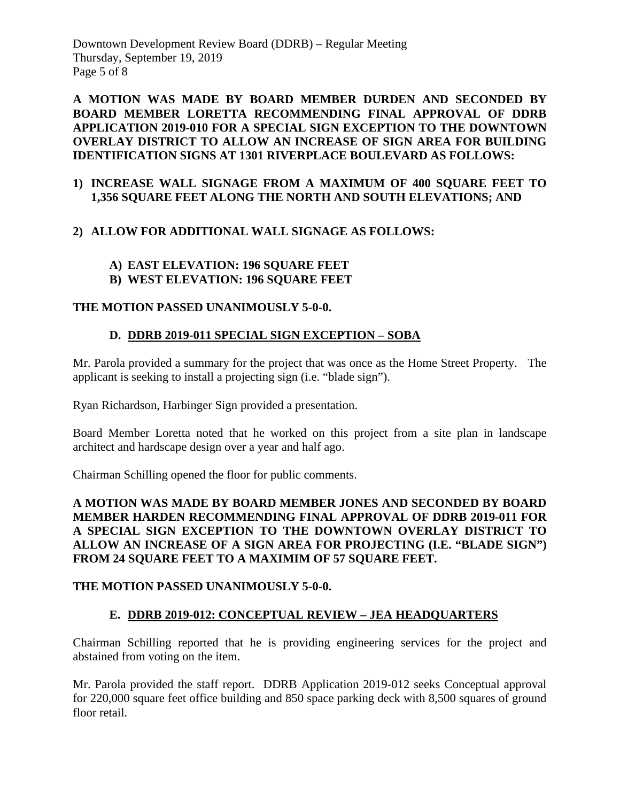Downtown Development Review Board (DDRB) – Regular Meeting Thursday, September 19, 2019 Page 5 of 8

**A MOTION WAS MADE BY BOARD MEMBER DURDEN AND SECONDED BY BOARD MEMBER LORETTA RECOMMENDING FINAL APPROVAL OF DDRB APPLICATION 2019-010 FOR A SPECIAL SIGN EXCEPTION TO THE DOWNTOWN OVERLAY DISTRICT TO ALLOW AN INCREASE OF SIGN AREA FOR BUILDING IDENTIFICATION SIGNS AT 1301 RIVERPLACE BOULEVARD AS FOLLOWS:**

### **1) INCREASE WALL SIGNAGE FROM A MAXIMUM OF 400 SQUARE FEET TO 1,356 SQUARE FEET ALONG THE NORTH AND SOUTH ELEVATIONS; AND**

# **2) ALLOW FOR ADDITIONAL WALL SIGNAGE AS FOLLOWS:**

# **A) EAST ELEVATION: 196 SQUARE FEET**

**B) WEST ELEVATION: 196 SQUARE FEET**

# **THE MOTION PASSED UNANIMOUSLY 5-0-0.**

# **D. DDRB 2019-011 SPECIAL SIGN EXCEPTION – SOBA**

Mr. Parola provided a summary for the project that was once as the Home Street Property. The applicant is seeking to install a projecting sign (i.e. "blade sign").

Ryan Richardson, Harbinger Sign provided a presentation.

Board Member Loretta noted that he worked on this project from a site plan in landscape architect and hardscape design over a year and half ago.

Chairman Schilling opened the floor for public comments.

# **A MOTION WAS MADE BY BOARD MEMBER JONES AND SECONDED BY BOARD MEMBER HARDEN RECOMMENDING FINAL APPROVAL OF DDRB 2019-011 FOR A SPECIAL SIGN EXCEPTION TO THE DOWNTOWN OVERLAY DISTRICT TO ALLOW AN INCREASE OF A SIGN AREA FOR PROJECTING (I.E. "BLADE SIGN") FROM 24 SQUARE FEET TO A MAXIMIM OF 57 SQUARE FEET.**

# **THE MOTION PASSED UNANIMOUSLY 5-0-0.**

# **E. DDRB 2019-012: CONCEPTUAL REVIEW – JEA HEADQUARTERS**

Chairman Schilling reported that he is providing engineering services for the project and abstained from voting on the item.

Mr. Parola provided the staff report. DDRB Application 2019-012 seeks Conceptual approval for 220,000 square feet office building and 850 space parking deck with 8,500 squares of ground floor retail.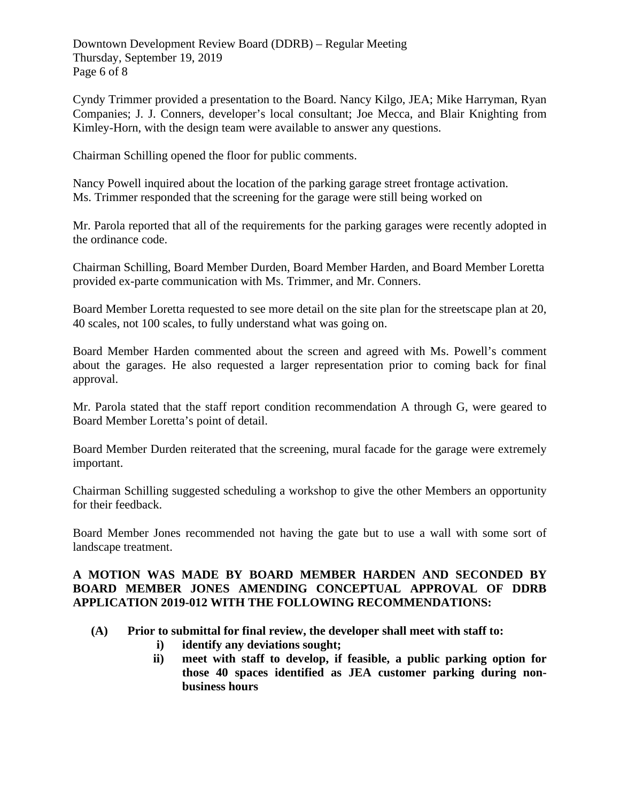Downtown Development Review Board (DDRB) – Regular Meeting Thursday, September 19, 2019 Page 6 of 8

Cyndy Trimmer provided a presentation to the Board. Nancy Kilgo, JEA; Mike Harryman, Ryan Companies; J. J. Conners, developer's local consultant; Joe Mecca, and Blair Knighting from Kimley-Horn, with the design team were available to answer any questions.

Chairman Schilling opened the floor for public comments.

Nancy Powell inquired about the location of the parking garage street frontage activation. Ms. Trimmer responded that the screening for the garage were still being worked on

Mr. Parola reported that all of the requirements for the parking garages were recently adopted in the ordinance code.

Chairman Schilling, Board Member Durden, Board Member Harden, and Board Member Loretta provided ex-parte communication with Ms. Trimmer, and Mr. Conners.

Board Member Loretta requested to see more detail on the site plan for the streetscape plan at 20, 40 scales, not 100 scales, to fully understand what was going on.

Board Member Harden commented about the screen and agreed with Ms. Powell's comment about the garages. He also requested a larger representation prior to coming back for final approval.

Mr. Parola stated that the staff report condition recommendation A through G, were geared to Board Member Loretta's point of detail.

Board Member Durden reiterated that the screening, mural facade for the garage were extremely important.

Chairman Schilling suggested scheduling a workshop to give the other Members an opportunity for their feedback.

Board Member Jones recommended not having the gate but to use a wall with some sort of landscape treatment.

### **A MOTION WAS MADE BY BOARD MEMBER HARDEN AND SECONDED BY BOARD MEMBER JONES AMENDING CONCEPTUAL APPROVAL OF DDRB APPLICATION 2019-012 WITH THE FOLLOWING RECOMMENDATIONS:**

- **(A) Prior to submittal for final review, the developer shall meet with staff to:** 
	- **i) identify any deviations sought;**
	- **ii) meet with staff to develop, if feasible, a public parking option for those 40 spaces identified as JEA customer parking during nonbusiness hours**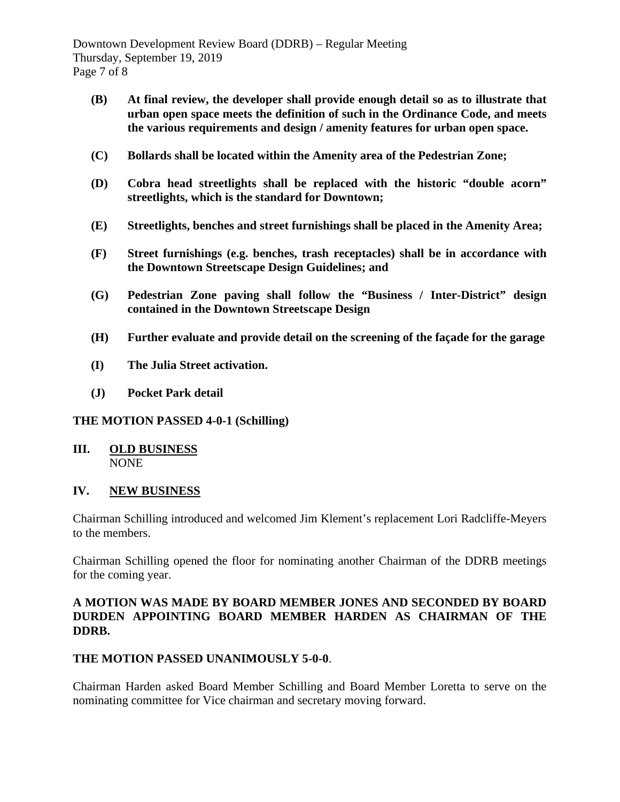Downtown Development Review Board (DDRB) – Regular Meeting Thursday, September 19, 2019 Page 7 of 8

- **(B) At final review, the developer shall provide enough detail so as to illustrate that urban open space meets the definition of such in the Ordinance Code, and meets the various requirements and design / amenity features for urban open space.**
- **(C) Bollards shall be located within the Amenity area of the Pedestrian Zone;**
- **(D) Cobra head streetlights shall be replaced with the historic "double acorn" streetlights, which is the standard for Downtown;**
- **(E) Streetlights, benches and street furnishings shall be placed in the Amenity Area;**
- **(F) Street furnishings (e.g. benches, trash receptacles) shall be in accordance with the Downtown Streetscape Design Guidelines; and**
- **(G) Pedestrian Zone paving shall follow the "Business / Inter-District" design contained in the Downtown Streetscape Design**
- **(H) Further evaluate and provide detail on the screening of the façade for the garage**
- **(I) The Julia Street activation.**
- **(J) Pocket Park detail**

# **THE MOTION PASSED 4-0-1 (Schilling)**

**III. OLD BUSINESS** NONE

#### **IV. NEW BUSINESS**

Chairman Schilling introduced and welcomed Jim Klement's replacement Lori Radcliffe-Meyers to the members.

Chairman Schilling opened the floor for nominating another Chairman of the DDRB meetings for the coming year.

### **A MOTION WAS MADE BY BOARD MEMBER JONES AND SECONDED BY BOARD DURDEN APPOINTING BOARD MEMBER HARDEN AS CHAIRMAN OF THE DDRB.**

# **THE MOTION PASSED UNANIMOUSLY 5-0-0**.

Chairman Harden asked Board Member Schilling and Board Member Loretta to serve on the nominating committee for Vice chairman and secretary moving forward.